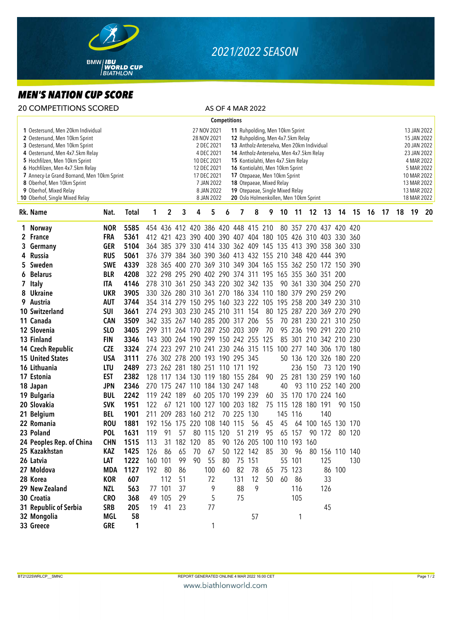

## *2021/2022 SEASON*

## *MEN'S NATION CUP SCORE*

| <b>Competitions</b><br>27 NOV 2021<br>1 Oestersund, Men 20km Individual<br>11 Ruhpolding, Men 10km Sprint<br>2 Oestersund, Men 10km Sprint<br>28 NOV 2021<br>12 Ruhpolding, Men 4x7.5km Relay<br>2 DEC 2021<br>13 Antholz-Anterselva, Men 20km Individual<br>3 Oestersund, Men 10km Sprint                                                                                                                                                                                                                                                                                                                   |          | 13 JAN 2022<br>15 JAN 2022<br>20 JAN 2022<br>23 JAN 2022<br>4 MAR 2022 |
|--------------------------------------------------------------------------------------------------------------------------------------------------------------------------------------------------------------------------------------------------------------------------------------------------------------------------------------------------------------------------------------------------------------------------------------------------------------------------------------------------------------------------------------------------------------------------------------------------------------|----------|------------------------------------------------------------------------|
|                                                                                                                                                                                                                                                                                                                                                                                                                                                                                                                                                                                                              |          |                                                                        |
| 4 DEC 2021<br>14 Antholz-Anterselva, Men 4x7.5km Relay<br>4 Oestersund, Men 4x7.5km Relay<br>10 DEC 2021<br>5 Hochfilzen, Men 10km Sprint<br>15 Kontiolahti, Men 4x7.5km Relay<br>12 DEC 2021<br>6 Hochfilzen, Men 4x7.5km Relay<br>16 Kontiolahti, Men 10km Sprint<br>17 DEC 2021<br>7 Annecy-Le Grand Bornand, Men 10km Sprint<br>17 Otepaeae, Men 10km Sprint<br>8 Oberhof, Men 10km Sprint<br>7 JAN 2022<br>18 Otepaeae, Mixed Relay<br>9 Oberhof, Mixed Relay<br>8 JAN 2022<br>19 Otepaeae, Single Mixed Relay<br>10 Oberhof, Single Mixed Relay<br>8 JAN 2022<br>20 Oslo Holmenkollen, Men 10km Sprint |          | 5 MAR 2022<br>10 MAR 2022<br>13 MAR 2022<br>13 MAR 2022<br>18 MAR 2022 |
| 3<br>5<br>Rk. Name<br>1<br>2<br>4<br>7<br>8<br>11<br>12<br>13<br>14<br>15<br>Nat.<br><b>Total</b><br>9<br>10<br>6                                                                                                                                                                                                                                                                                                                                                                                                                                                                                            | 16<br>17 | 18<br>19<br>20                                                         |
| 5585<br>454 436 412 420 386 420 448 415 210<br>1 Norway<br><b>NOR</b><br>80 357 270 437 420 420                                                                                                                                                                                                                                                                                                                                                                                                                                                                                                              |          |                                                                        |
| <b>FRA</b><br>5361<br>412 421 423 390 400 390 407 404 180 105 426 310 403 330 360<br>2 France                                                                                                                                                                                                                                                                                                                                                                                                                                                                                                                |          |                                                                        |
| 364 385 379 330 414 330 362 409 145 135 413 390 358 360 330<br>3 Germany<br><b>GER</b><br>5104                                                                                                                                                                                                                                                                                                                                                                                                                                                                                                               |          |                                                                        |
| 4 Russia<br><b>RUS</b><br>5061<br>376 379 384 360 390 360 413 432 155 210 348 420 444 390                                                                                                                                                                                                                                                                                                                                                                                                                                                                                                                    |          |                                                                        |
| 4339<br>Sweden<br><b>SWE</b><br>328 365 400 270 369 310 349 304 165 155 362 250 172 150 390<br>5.                                                                                                                                                                                                                                                                                                                                                                                                                                                                                                            |          |                                                                        |
| 6 Belarus<br>4208<br><b>BLR</b><br>322 298 295 290 402 290 374 311 195 165 355 360 351 200                                                                                                                                                                                                                                                                                                                                                                                                                                                                                                                   |          |                                                                        |
| 7 Italy<br>4146<br>278 310 361 250 343 220 302 342 135<br>90 361 330 304 250 270<br>ITA                                                                                                                                                                                                                                                                                                                                                                                                                                                                                                                      |          |                                                                        |
| 8 Ukraine<br><b>UKR</b><br>3905<br>330 326 280 310 361 270 186 334 110 180 379 290 259 290                                                                                                                                                                                                                                                                                                                                                                                                                                                                                                                   |          |                                                                        |
| 9 Austria<br><b>AUT</b><br>3744<br>354 314 279 150 295 160 323 222 105 195 258 200 349 230 310                                                                                                                                                                                                                                                                                                                                                                                                                                                                                                               |          |                                                                        |
| 10 Switzerland<br><b>SUI</b><br>274 293 303 230 245 210 311 154<br>80 125 287 220 369 270 290<br>3661                                                                                                                                                                                                                                                                                                                                                                                                                                                                                                        |          |                                                                        |
| 11 Canada<br><b>CAN</b><br>3509<br>342 335 267 140 285 200 317 206<br>55<br>70 281 230 221 310 250                                                                                                                                                                                                                                                                                                                                                                                                                                                                                                           |          |                                                                        |
| 12 Slovenia<br>SL <sub>0</sub><br>3405<br>299 311 264 170 287 250 203 309<br>95 236 190 291 220 210<br>70                                                                                                                                                                                                                                                                                                                                                                                                                                                                                                    |          |                                                                        |
| 143 300 264 190 299 150 242 255 125<br>13 Finland<br><b>FIN</b><br>3346<br>85 301 210 342 210 230                                                                                                                                                                                                                                                                                                                                                                                                                                                                                                            |          |                                                                        |
| <b>CZE</b><br>3324<br>274 223 297 210 241 230 246 315 115<br>14 Czech Republic<br>100 277 140 306 170 180                                                                                                                                                                                                                                                                                                                                                                                                                                                                                                    |          |                                                                        |
| <b>USA</b><br>276 302 278 200 193 190 295 345<br><b>15 United States</b><br>3111<br>50 136 120 326 180 220                                                                                                                                                                                                                                                                                                                                                                                                                                                                                                   |          |                                                                        |
| 16 Lithuania<br>LTU<br>2489<br>273 262 281 180 251 110 171 192<br>236 150<br>73 120 190                                                                                                                                                                                                                                                                                                                                                                                                                                                                                                                      |          |                                                                        |
| 25 281 130 259 190 160<br>17 Estonia<br><b>EST</b><br>2382<br>128 117 134 130 119 180 155 284<br>90                                                                                                                                                                                                                                                                                                                                                                                                                                                                                                          |          |                                                                        |
| 93 110 252 140 200<br><b>JPN</b><br>2346<br>270 175 247 110 184 130 247 148<br>40<br>18 Japan                                                                                                                                                                                                                                                                                                                                                                                                                                                                                                                |          |                                                                        |
| <b>BUL</b><br>2242<br>60 205 170 199 239<br>35 170 170 224 160<br>19 Bulgaria<br>119<br>242 189<br>60                                                                                                                                                                                                                                                                                                                                                                                                                                                                                                        |          |                                                                        |
| 20 Slovakia<br><b>SVK</b><br>100 127 100 203 182<br>128 180 191<br>1951<br>122<br>121<br>75 115<br>90 150<br>67                                                                                                                                                                                                                                                                                                                                                                                                                                                                                              |          |                                                                        |
| 283 160 212<br>21 Belgium<br><b>BEL</b><br>1901<br>211 209<br>70 225 130<br>145 116<br>140                                                                                                                                                                                                                                                                                                                                                                                                                                                                                                                   |          |                                                                        |
| 22 Romania<br><b>ROU</b><br>1881<br>192 156 175 220 108<br>56<br>64 100 165<br>140 115<br>45<br>45<br>130 170                                                                                                                                                                                                                                                                                                                                                                                                                                                                                                |          |                                                                        |
| 23 Poland<br>65 157<br><b>POL</b><br>1631<br>119<br>91<br>57<br>80 115 120<br>51 219<br>95<br>90 172<br>80 120                                                                                                                                                                                                                                                                                                                                                                                                                                                                                               |          |                                                                        |
| 24 Peoples Rep. of China<br><b>CHN</b><br>1515<br>113<br>31 182 120<br>85<br>90 126 205 100 110 193 160                                                                                                                                                                                                                                                                                                                                                                                                                                                                                                      |          |                                                                        |
| 1425<br>65<br>50 122 142<br>25 Kazakhstan<br>KAZ<br>126<br>86<br>70<br>85<br>30<br>96<br>80 156 110 140<br>67                                                                                                                                                                                                                                                                                                                                                                                                                                                                                                |          |                                                                        |
| 160 101<br>99<br>55 101<br>26 Latvia<br>LAT<br>1222<br>90<br>75 151<br>125<br>55<br>80<br>130                                                                                                                                                                                                                                                                                                                                                                                                                                                                                                                |          |                                                                        |
| 27 Moldova<br>1127<br>86 100<br><b>MDA</b><br>192 80<br>86<br>60<br>82<br>75 123<br>100<br>78<br>65                                                                                                                                                                                                                                                                                                                                                                                                                                                                                                          |          |                                                                        |
| 28 Korea<br><b>KOR</b><br>607<br>112<br>51<br>50<br>33<br>72<br>131<br>12<br>60<br>- 86                                                                                                                                                                                                                                                                                                                                                                                                                                                                                                                      |          |                                                                        |
| 77 101<br>9<br>29 New Zealand<br>563<br>37<br>9<br>88<br>116<br>126<br>NZL                                                                                                                                                                                                                                                                                                                                                                                                                                                                                                                                   |          |                                                                        |
| 49 105<br>5<br>75<br>30 Croatia<br><b>CRO</b><br>29<br>105<br>368                                                                                                                                                                                                                                                                                                                                                                                                                                                                                                                                            |          |                                                                        |
| 31 Republic of Serbia<br><b>SRB</b><br>205<br>23<br>77<br>45<br>19<br>41                                                                                                                                                                                                                                                                                                                                                                                                                                                                                                                                     |          |                                                                        |
| 32 Mongolia<br>MGL<br>58<br>57<br>1                                                                                                                                                                                                                                                                                                                                                                                                                                                                                                                                                                          |          |                                                                        |
| 33 Greece<br><b>GRE</b><br>1<br>1                                                                                                                                                                                                                                                                                                                                                                                                                                                                                                                                                                            |          |                                                                        |